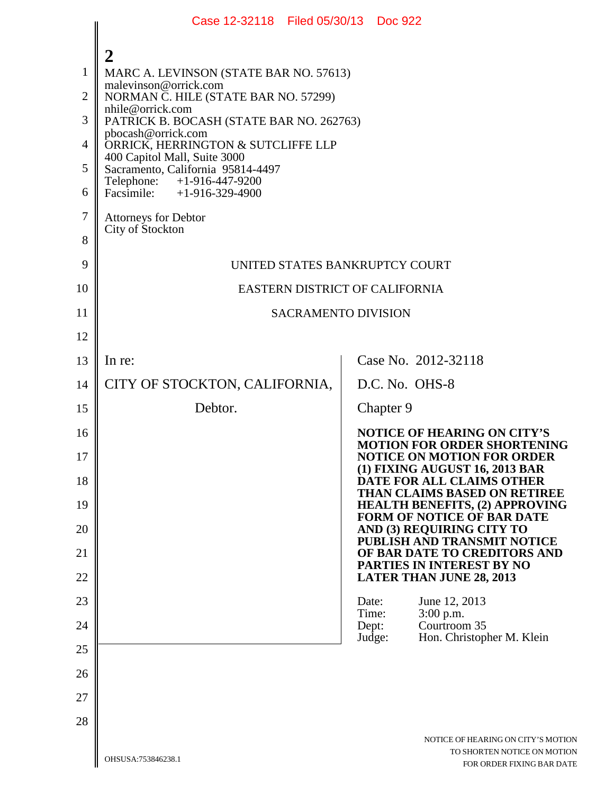|                | Case 12-32118 Filed 05/30/13 Doc 922                              |                                                                            |  |
|----------------|-------------------------------------------------------------------|----------------------------------------------------------------------------|--|
|                |                                                                   |                                                                            |  |
| $\mathbf{1}$   | MARC A. LEVINSON (STATE BAR NO. 57613)                            |                                                                            |  |
| $\overline{2}$ | malevinson@orrick.com<br>NORMAN C. HILE (STATE BAR NO. 57299)     |                                                                            |  |
| 3              | nhile@orrick.com<br>PATRICK B. BOCASH (STATE BAR NO. 262763)      |                                                                            |  |
| $\overline{4}$ | pbocash@orrick.com<br>ORRICK, HERRINGTON & SUTCLIFFE LLP          |                                                                            |  |
| 5              | 400 Capitol Mall, Suite 3000<br>Sacramento, California 95814-4497 |                                                                            |  |
| 6              | Telephone: +1-916-447-9200<br>Facsimile: $+1-916-329-4900$        |                                                                            |  |
| $\overline{7}$ | Attorneys for Debtor                                              |                                                                            |  |
| 8              | City of Stockton                                                  |                                                                            |  |
| 9              | UNITED STATES BANKRUPTCY COURT                                    |                                                                            |  |
| 10             | EASTERN DISTRICT OF CALIFORNIA                                    |                                                                            |  |
| 11             | <b>SACRAMENTO DIVISION</b>                                        |                                                                            |  |
| 12             |                                                                   |                                                                            |  |
| 13             | In re:                                                            | Case No. 2012-32118                                                        |  |
| 14             | CITY OF STOCKTON, CALIFORNIA,                                     | D.C. No. OHS-8                                                             |  |
| 15             | Debtor.                                                           | Chapter 9                                                                  |  |
| 16             |                                                                   | <b>NOTICE OF HEARING ON CITY'S</b><br><b>MOTION FOR ORDER SHORTENING</b>   |  |
| 17             |                                                                   | <b>NOTICE ON MOTION FOR ORDER</b><br>(1) FIXING AUGUST 16, 2013 BAR        |  |
| 18             |                                                                   | DATE FOR ALL CLAIMS OTHER<br>THAN CLAIMS BASED ON RETIREE                  |  |
| 19             |                                                                   | <b>HEALTH BENEFITS, (2) APPROVING</b><br><b>FORM OF NOTICE OF BAR DATE</b> |  |
| 20             |                                                                   | AND (3) REQUIRING CITY TO<br>PUBLISH AND TRANSMIT NOTICE                   |  |
| 21             |                                                                   | OF BAR DATE TO CREDITORS AND<br>PARTIES IN INTEREST BY NO                  |  |
| 22             |                                                                   | <b>LATER THAN JUNE 28, 2013</b>                                            |  |
| 23             |                                                                   | Date:<br>June 12, 2013<br>Time:<br>$3:00$ p.m.                             |  |
| 24             |                                                                   | Courtroom 35<br>Dept:<br>Judge:<br>Hon. Christopher M. Klein               |  |
| 25             |                                                                   |                                                                            |  |
| 26             |                                                                   |                                                                            |  |
| 27             |                                                                   |                                                                            |  |
| 28             |                                                                   |                                                                            |  |
|                |                                                                   | NOTICE OF HEARING ON CITY'S MOTION<br>TO SHORTEN NOTICE ON MOTION          |  |